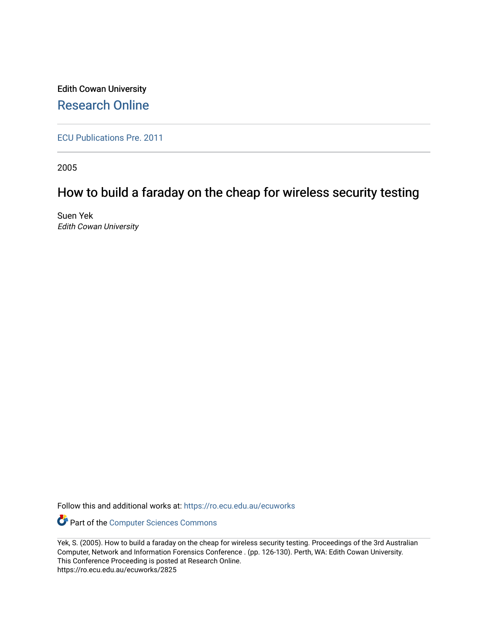Edith Cowan University [Research Online](https://ro.ecu.edu.au/) 

[ECU Publications Pre. 2011](https://ro.ecu.edu.au/ecuworks)

2005

# How to build a faraday on the cheap for wireless security testing

Suen Yek Edith Cowan University

Follow this and additional works at: [https://ro.ecu.edu.au/ecuworks](https://ro.ecu.edu.au/ecuworks?utm_source=ro.ecu.edu.au%2Fecuworks%2F2825&utm_medium=PDF&utm_campaign=PDFCoverPages) 

Part of the [Computer Sciences Commons](http://network.bepress.com/hgg/discipline/142?utm_source=ro.ecu.edu.au%2Fecuworks%2F2825&utm_medium=PDF&utm_campaign=PDFCoverPages)

Yek, S. (2005). How to build a faraday on the cheap for wireless security testing. Proceedings of the 3rd Australian Computer, Network and Information Forensics Conference . (pp. 126-130). Perth, WA: Edith Cowan University. This Conference Proceeding is posted at Research Online. https://ro.ecu.edu.au/ecuworks/2825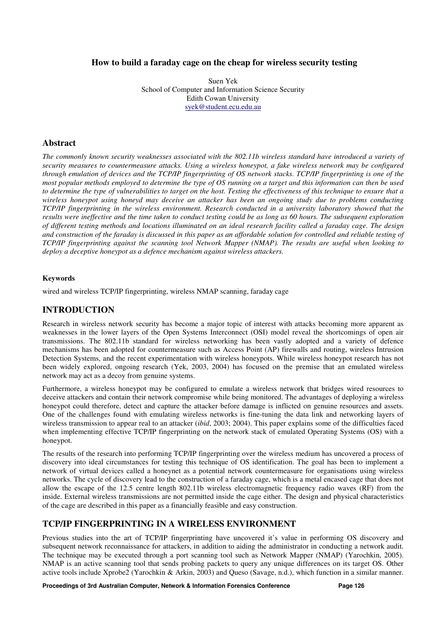#### **How to build a faraday cage on the cheap for wireless security testing**

Suen Yek School of Computer and Information Science Security Edith Cowan University syek@student.ecu.edu.au

#### **Abstract**

*The commonly known security weaknesses associated with the 802.11b wireless standard have introduced a variety of security measures to countermeasure attacks. Using a wireless honeypot, a fake wireless network may be configured through emulation of devices and the TCP/IP fingerprinting of OS network stacks. TCP/IP fingerprinting is one of the most popular methods employed to determine the type of OS running on a target and this information can then be used to determine the type of vulnerabilities to target on the host. Testing the effectiveness of this technique to ensure that a wireless honeypot using honeyd may deceive an attacker has been an ongoing study due to problems conducting TCP/IP fingerprinting in the wireless environment. Research conducted in a university laboratory showed that the results were ineffective and the time taken to conduct testing could be as long as 60 hours. The subsequent exploration of different testing methods and locations illuminated on an ideal research facility called a faraday cage. The design and construction of the faraday is discussed in this paper as an affordable solution for controlled and reliable testing of TCP/IP fingerprinting against the scanning tool Network Mapper (NMAP). The results are useful when looking to deploy a deceptive honeypot as a defence mechanism against wireless attackers.* 

#### **Keywords**

wired and wireless TCP/IP fingerprinting, wireless NMAP scanning, faraday cage

#### **INTRODUCTION**

Research in wireless network security has become a major topic of interest with attacks becoming more apparent as weaknesses in the lower layers of the Open Systems Interconnect (OSI) model reveal the shortcomings of open air transmissions. The 802.11b standard for wireless networking has been vastly adopted and a variety of defence mechanisms has been adopted for countermeasure such as Access Point (AP) firewalls and routing, wireless Intrusion Detection Systems, and the recent experimentation with wireless honeypots. While wireless honeypot research has not been widely explored, ongoing research (Yek, 2003, 2004) has focused on the premise that an emulated wireless network may act as a decoy from genuine systems.

Furthermore, a wireless honeypot may be configured to emulate a wireless network that bridges wired resources to deceive attackers and contain their network compromise while being monitored. The advantages of deploying a wireless honeypot could therefore, detect and capture the attacker before damage is inflicted on genuine resources and assets. One of the challenges found with emulating wireless networks is fine-tuning the data link and networking layers of wireless transmission to appear real to an attacker (*ibid*, 2003; 2004). This paper explains some of the difficulties faced when implementing effective TCP/IP fingerprinting on the network stack of emulated Operating Systems (OS) with a honeypot.

The results of the research into performing TCP/IP fingerprinting over the wireless medium has uncovered a process of discovery into ideal circumstances for testing this technique of OS identification. The goal has been to implement a network of virtual devices called a honeynet as a potential network countermeasure for organisations using wireless networks. The cycle of discovery lead to the construction of a faraday cage, which is a metal encased cage that does not allow the escape of the 12.5 centre length 802.11b wireless electromagnetic frequency radio waves (RF) from the inside. External wireless transmissions are not permitted inside the cage either. The design and physical characteristics of the cage are described in this paper as a financially feasible and easy construction.

#### **TCP/IP FINGERPRINTING IN A WIRELESS ENVIRONMENT**

Previous studies into the art of TCP/IP fingerprinting have uncovered it's value in performing OS discovery and subsequent network reconnaissance for attackers, in addition to aiding the administrator in conducting a network audit. The technique may be executed through a port scanning tool such as Network Mapper (NMAP) (Yarochkin, 2005). NMAP is an active scanning tool that sends probing packets to query any unique differences on its target OS. Other active tools include Xprobe2 (Yarochkin & Arkin, 2003) and Queso (Savage, n.d.), which function in a similar manner.

**Proceedings of 3rd Australian Computer, Network & Information Forensics Conference Page 126**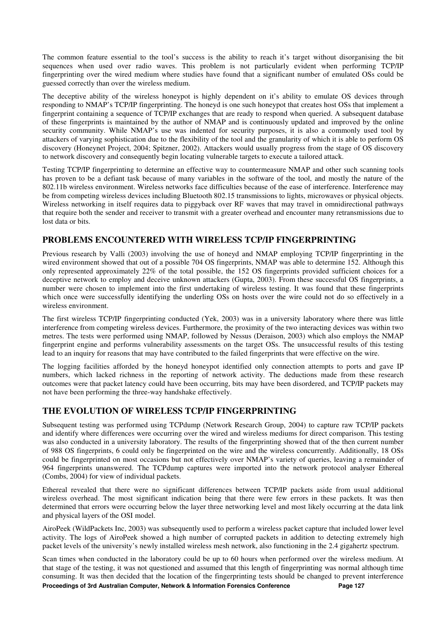The common feature essential to the tool's success is the ability to reach it's target without disorganising the bit sequences when used over radio waves. This problem is not particularly evident when performing TCP/IP fingerprinting over the wired medium where studies have found that a significant number of emulated OSs could be guessed correctly than over the wireless medium.

The deceptive ability of the wireless honeypot is highly dependent on it's ability to emulate OS devices through responding to NMAP's TCP/IP fingerprinting. The honeyd is one such honeypot that creates host OSs that implement a fingerprint containing a sequence of TCP/IP exchanges that are ready to respond when queried. A subsequent database of these fingerprints is maintained by the author of NMAP and is continuously updated and improved by the online security community. While NMAP's use was indented for security purposes, it is also a commonly used tool by attackers of varying sophistication due to the flexibility of the tool and the granularity of which it is able to perform OS discovery (Honeynet Project, 2004; Spitzner, 2002). Attackers would usually progress from the stage of OS discovery to network discovery and consequently begin locating vulnerable targets to execute a tailored attack.

Testing TCP/IP fingerprinting to determine an effective way to countermeasure NMAP and other such scanning tools has proven to be a defiant task because of many variables in the software of the tool, and mostly the nature of the 802.11b wireless environment. Wireless networks face difficulties because of the ease of interference. Interference may be from competing wireless devices including Bluetooth 802.15 transmissions to lights, microwaves or physical objects. Wireless networking in itself requires data to piggyback over RF waves that may travel in omnidirectional pathways that require both the sender and receiver to transmit with a greater overhead and encounter many retransmissions due to lost data or bits.

# **PROBLEMS ENCOUNTERED WITH WIRELESS TCP/IP FINGERPRINTING**

Previous research by Valli (2003) involving the use of honeyd and NMAP employing TCP/IP fingerprinting in the wired environment showed that out of a possible 704 OS fingerprints, NMAP was able to determine 152. Although this only represented approximately 22% of the total possible, the 152 OS fingerprints provided sufficient choices for a deceptive network to employ and deceive unknown attackers (Gupta, 2003). From these successful OS fingerprints, a number were chosen to implement into the first undertaking of wireless testing. It was found that these fingerprints which once were successfully identifying the underling OSs on hosts over the wire could not do so effectively in a wireless environment.

The first wireless TCP/IP fingerprinting conducted (Yek, 2003) was in a university laboratory where there was little interference from competing wireless devices. Furthermore, the proximity of the two interacting devices was within two metres. The tests were performed using NMAP, followed by Nessus (Deraison, 2003) which also employs the NMAP fingerprint engine and performs vulnerability assessments on the target OSs. The unsuccessful results of this testing lead to an inquiry for reasons that may have contributed to the failed fingerprints that were effective on the wire.

The logging facilities afforded by the honeyd honeypot identified only connection attempts to ports and gave IP numbers, which lacked richness in the reporting of network activity. The deductions made from these research outcomes were that packet latency could have been occurring, bits may have been disordered, and TCP/IP packets may not have been performing the three-way handshake effectively.

# **THE EVOLUTION OF WIRELESS TCP/IP FINGERPRINTING**

Subsequent testing was performed using TCPdump (Network Research Group, 2004) to capture raw TCP/IP packets and identify where differences were occurring over the wired and wireless mediums for direct comparison. This testing was also conducted in a university laboratory. The results of the fingerprinting showed that of the then current number of 988 OS fingerprints, 6 could only be fingerprinted on the wire and the wireless concurrently. Additionally, 18 OSs could be fingerprinted on most occasions but not effectively over NMAP's variety of queries, leaving a remainder of 964 fingerprints unanswered. The TCPdump captures were imported into the network protocol analyser Ethereal (Combs, 2004) for view of individual packets.

Ethereal revealed that there were no significant differences between TCP/IP packets aside from usual additional wireless overhead. The most significant indication being that there were few errors in these packets. It was then determined that errors were occurring below the layer three networking level and most likely occurring at the data link and physical layers of the OSI model.

AiroPeek (WildPackets Inc, 2003) was subsequently used to perform a wireless packet capture that included lower level activity. The logs of AiroPeek showed a high number of corrupted packets in addition to detecting extremely high packet levels of the university's newly installed wireless mesh network, also functioning in the 2.4 gigahertz spectrum.

**Proceedings of 3rd Australian Computer, Network & Information Forensics Conference Page 127** Scan times when conducted in the laboratory could be up to 60 hours when performed over the wireless medium. At that stage of the testing, it was not questioned and assumed that this length of fingerprinting was normal although time consuming. It was then decided that the location of the fingerprinting tests should be changed to prevent interference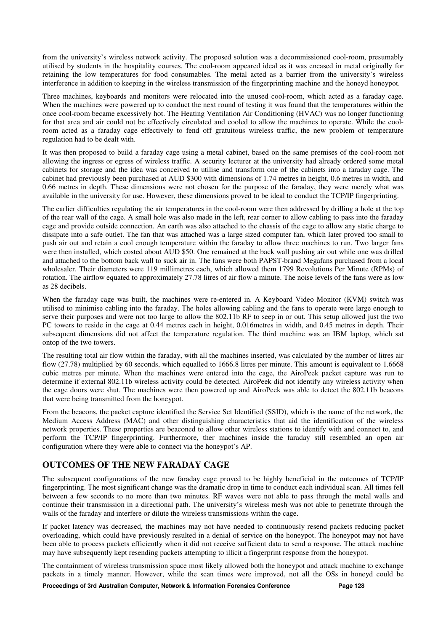from the university's wireless network activity. The proposed solution was a decommissioned cool-room, presumably utilised by students in the hospitality courses. The cool-room appeared ideal as it was encased in metal originally for retaining the low temperatures for food consumables. The metal acted as a barrier from the university's wireless interference in addition to keeping in the wireless transmission of the fingerprinting machine and the honeyd honeypot.

Three machines, keyboards and monitors were relocated into the unused cool-room, which acted as a faraday cage. When the machines were powered up to conduct the next round of testing it was found that the temperatures within the once cool-room became excessively hot. The Heating Ventilation Air Conditioning (HVAC) was no longer functioning for that area and air could not be effectively circulated and cooled to allow the machines to operate. While the coolroom acted as a faraday cage effectively to fend off gratuitous wireless traffic, the new problem of temperature regulation had to be dealt with.

It was then proposed to build a faraday cage using a metal cabinet, based on the same premises of the cool-room not allowing the ingress or egress of wireless traffic. A security lecturer at the university had already ordered some metal cabinets for storage and the idea was conceived to utilise and transform one of the cabinets into a faraday cage. The cabinet had previously been purchased at AUD \$300 with dimensions of 1.74 metres in height, 0.6 metres in width, and 0.66 metres in depth. These dimensions were not chosen for the purpose of the faraday, they were merely what was available in the university for use. However, these dimensions proved to be ideal to conduct the TCP/IP fingerprinting.

The earlier difficulties regulating the air temperatures in the cool-room were then addressed by drilling a hole at the top of the rear wall of the cage. A small hole was also made in the left, rear corner to allow cabling to pass into the faraday cage and provide outside connection. An earth was also attached to the chassis of the cage to allow any static charge to dissipate into a safe outlet. The fan that was attached was a large sized computer fan, which later proved too small to push air out and retain a cool enough temperature within the faraday to allow three machines to run. Two larger fans were then installed, which costed about AUD \$50. One remained at the back wall pushing air out while one was drilled and attached to the bottom back wall to suck air in. The fans were both PAPST-brand Megafans purchased from a local wholesaler. Their diameters were 119 millimetres each, which allowed them 1799 Revolutions Per Minute (RPMs) of rotation. The airflow equated to approximately 27.78 litres of air flow a minute. The noise levels of the fans were as low as 28 decibels.

When the faraday cage was built, the machines were re-entered in. A Keyboard Video Monitor (KVM) switch was utilised to minimise cabling into the faraday. The holes allowing cabling and the fans to operate were large enough to serve their purposes and were not too large to allow the 802.11b RF to seep in or out. This setup allowed just the two PC towers to reside in the cage at 0.44 metres each in height, 0.016metres in width, and 0.45 metres in depth. Their subsequent dimensions did not affect the temperature regulation. The third machine was an IBM laptop, which sat ontop of the two towers.

The resulting total air flow within the faraday, with all the machines inserted, was calculated by the number of litres air flow (27.78) multiplied by 60 seconds, which equalled to 1666.8 litres per minute. This amount is equivalent to 1.6668 cubic metres per minute. When the machines were entered into the cage, the AiroPeek packet capture was run to determine if external 802.11b wireless activity could be detected. AiroPeek did not identify any wireless activity when the cage doors were shut. The machines were then powered up and AiroPeek was able to detect the 802.11b beacons that were being transmitted from the honeypot.

From the beacons, the packet capture identified the Service Set Identified (SSID), which is the name of the network, the Medium Access Address (MAC) and other distinguishing characteristics that aid the identification of the wireless network properties. These properties are beaconed to allow other wireless stations to identify with and connect to, and perform the TCP/IP fingerprinting. Furthermore, ther machines inside the faraday still resembled an open air configuration where they were able to connect via the honeypot's AP.

# **OUTCOMES OF THE NEW FARADAY CAGE**

The subsequent configurations of the new faraday cage proved to be highly beneficial in the outcomes of TCP/IP fingerprinting. The most significant change was the dramatic drop in time to conduct each individual scan. All times fell between a few seconds to no more than two minutes. RF waves were not able to pass through the metal walls and continue their transmission in a directional path. The university's wireless mesh was not able to penetrate through the walls of the faraday and interfere or dilute the wireless transmissions within the cage.

If packet latency was decreased, the machines may not have needed to continuously resend packets reducing packet overloading, which could have previously resulted in a denial of service on the honeypot. The honeypot may not have been able to process packets efficiently when it did not receive sufficient data to send a response. The attack machine may have subsequently kept resending packets attempting to illicit a fingerprint response from the honeypot.

The containment of wireless transmission space most likely allowed both the honeypot and attack machine to exchange packets in a timely manner. However, while the scan times were improved, not all the OSs in honeyd could be

**Proceedings of 3rd Australian Computer, Network & Information Forensics Conference Page 128**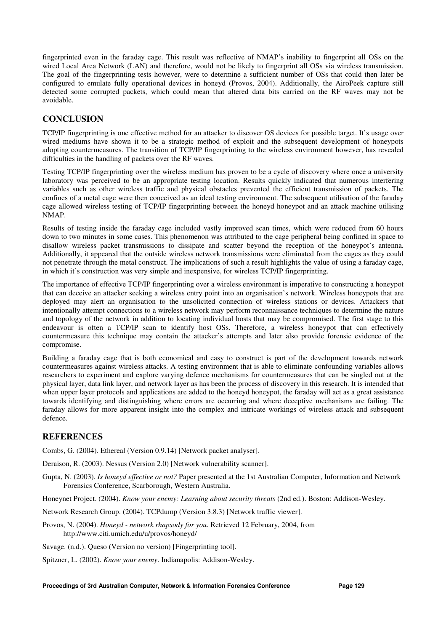fingerprinted even in the faraday cage. This result was reflective of NMAP's inability to fingerprint all OSs on the wired Local Area Network (LAN) and therefore, would not be likely to fingerprint all OSs via wireless transmission. The goal of the fingerprinting tests however, were to determine a sufficient number of OSs that could then later be configured to emulate fully operational devices in honeyd (Provos, 2004). Additionally, the AiroPeek capture still detected some corrupted packets, which could mean that altered data bits carried on the RF waves may not be avoidable.

# **CONCLUSION**

TCP/IP fingerprinting is one effective method for an attacker to discover OS devices for possible target. It's usage over wired mediums have shown it to be a strategic method of exploit and the subsequent development of honeypots adopting countermeasures. The transition of TCP/IP fingerprinting to the wireless environment however, has revealed difficulties in the handling of packets over the RF waves.

Testing TCP/IP fingerprinting over the wireless medium has proven to be a cycle of discovery where once a university laboratory was perceived to be an appropriate testing location. Results quickly indicated that numerous interfering variables such as other wireless traffic and physical obstacles prevented the efficient transmission of packets. The confines of a metal cage were then conceived as an ideal testing environment. The subsequent utilisation of the faraday cage allowed wireless testing of TCP/IP fingerprinting between the honeyd honeypot and an attack machine utilising NMAP.

Results of testing inside the faraday cage included vastly improved scan times, which were reduced from 60 hours down to two minutes in some cases. This phenomenon was attributed to the cage peripheral being confined in space to disallow wireless packet transmissions to dissipate and scatter beyond the reception of the honeypot's antenna. Additionally, it appeared that the outside wireless network transmissions were eliminated from the cages as they could not penetrate through the metal construct. The implications of such a result highlights the value of using a faraday cage, in which it's construction was very simple and inexpensive, for wireless TCP/IP fingerprinting.

The importance of effective TCP/IP fingerprinting over a wireless environment is imperative to constructing a honeypot that can deceive an attacker seeking a wireless entry point into an organisation's network. Wireless honeypots that are deployed may alert an organisation to the unsolicited connection of wireless stations or devices. Attackers that intentionally attempt connections to a wireless network may perform reconnaissance techniques to determine the nature and topology of the network in addition to locating individual hosts that may be compromised. The first stage to this endeavour is often a TCP/IP scan to identify host OSs. Therefore, a wireless honeypot that can effectively countermeasure this technique may contain the attacker's attempts and later also provide forensic evidence of the compromise.

Building a faraday cage that is both economical and easy to construct is part of the development towards network countermeasures against wireless attacks. A testing environment that is able to eliminate confounding variables allows researchers to experiment and explore varying defence mechanisms for countermeasures that can be singled out at the physical layer, data link layer, and network layer as has been the process of discovery in this research. It is intended that when upper layer protocols and applications are added to the honeyd honeypot, the faraday will act as a great assistance towards identifying and distinguishing where errors are occurring and where deceptive mechanisms are failing. The faraday allows for more apparent insight into the complex and intricate workings of wireless attack and subsequent defence.

# **REFERENCES**

Combs, G. (2004). Ethereal (Version 0.9.14) [Network packet analyser].

Deraison, R. (2003). Nessus (Version 2.0) [Network vulnerability scanner].

Gupta, N. (2003). *Is honeyd effective or not?* Paper presented at the 1st Australian Computer, Information and Network Forensics Conference, Scarborough, Western Australia.

Honeynet Project. (2004). *Know your enemy: Learning about security threats* (2nd ed.). Boston: Addison-Wesley.

Network Research Group. (2004). TCPdump (Version 3.8.3) [Network traffic viewer].

Provos, N. (2004). *Honeyd - network rhapsody for you*. Retrieved 12 February, 2004, from http://www.citi.umich.edu/u/provos/honeyd/

Savage. (n.d.). Queso (Version no version) [Fingerprinting tool].

Spitzner, L. (2002). *Know your enemy*. Indianapolis: Addison-Wesley.